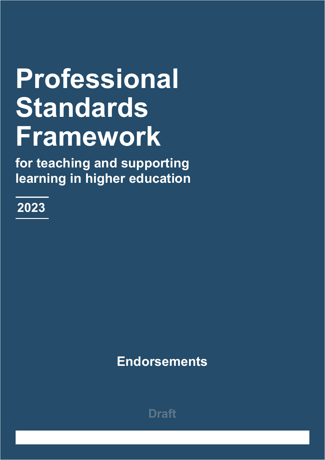# **Professional Standards Framework**

**for teaching and supporting learning in higher education**

**2023**

**Endorsements**

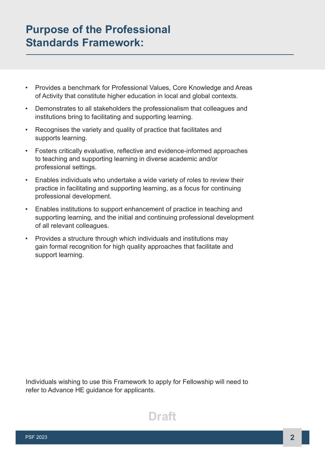# **Purpose of the Professional Standards Framework:**

- Provides a benchmark for Professional Values, Core Knowledge and Areas of Activity that constitute higher education in local and global contexts.
- Demonstrates to all stakeholders the professionalism that colleagues and institutions bring to facilitating and supporting learning.
- Recognises the variety and quality of practice that facilitates and supports learning.
- Fosters critically evaluative, reflective and evidence-informed approaches to teaching and supporting learning in diverse academic and/or professional settings.
- Enables individuals who undertake a wide variety of roles to review their practice in facilitating and supporting learning, as a focus for continuing professional development.
- Enables institutions to support enhancement of practice in teaching and supporting learning, and the initial and continuing professional development of all relevant colleagues.
- Provides a structure through which individuals and institutions may gain formal recognition for high quality approaches that facilitate and support learning.

Individuals wishing to use this Framework to apply for Fellowship will need to refer to Advance HE guidance for applicants.

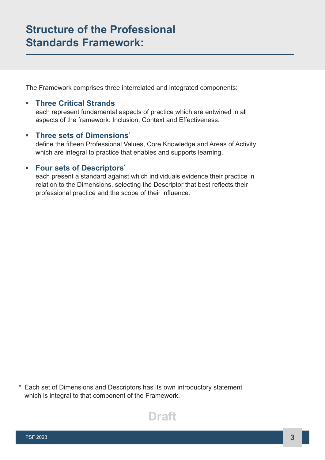The Framework comprises three interrelated and integrated components:

# **• Three Critical Strands**

each represent fundamental aspects of practice which are entwined in all aspects of the framework: Inclusion, Context and Effectiveness.

### **• Three sets of Dimensions\***

define the fifteen Professional Values, Core Knowledge and Areas of Activity which are integral to practice that enables and supports learning.

# **• Four sets of Descriptors\***

each present a standard against which individuals evidence their practice in relation to the Dimensions, selecting the Descriptor that best reflects their professional practice and the scope of their influence.

\* Each set of Dimensions and Descriptors has its own introductory statement which is integral to that component of the Framework.

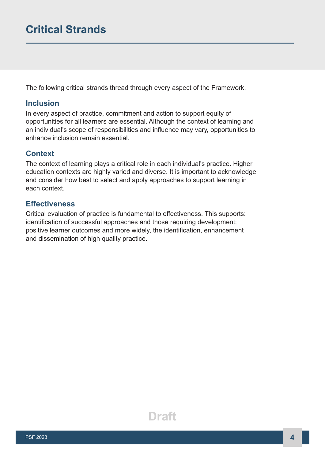The following critical strands thread through every aspect of the Framework.

### **Inclusion**

In every aspect of practice, commitment and action to support equity of opportunities for all learners are essential. Although the context of learning and an individual's scope of responsibilities and influence may vary, opportunities to enhance inclusion remain essential.

### **Context**

The context of learning plays a critical role in each individual's practice. Higher education contexts are highly varied and diverse. It is important to acknowledge and consider how best to select and apply approaches to support learning in each context.

# **Effectiveness**

Critical evaluation of practice is fundamental to effectiveness. This supports: identification of successful approaches and those requiring development; positive learner outcomes and more widely, the identification, enhancement and dissemination of high quality practice.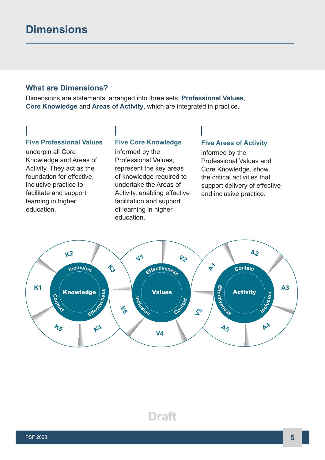# **What are Dimensions?**

Dimensions are statements, arranged into three sets: **Professional Values**, **Core Knowledge** and **Areas of Activity**, which are integrated in practice.

### **Five Professional Values**

underpin all Core Knowledge and Areas of Activity. They act as the foundation for effective, inclusive practice to facilitate and support learning in higher education.

#### **Five Core Knowledge**

informed by the Professional Values, represent the key areas of knowledge required to undertake the Areas of Activity, enabling effective facilitation and support of learning in higher education.

#### **Five Areas of Activity**

informed by the Professional Values and Core Knowledge, show the critical activities that support delivery of effective and inclusive practice.

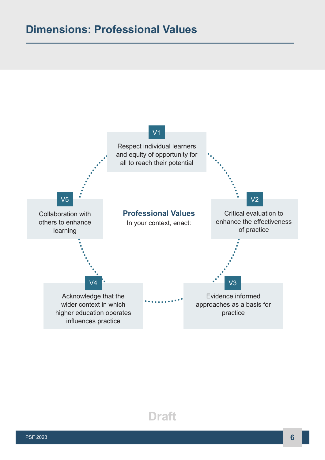# **Dimensions: Professional Values**

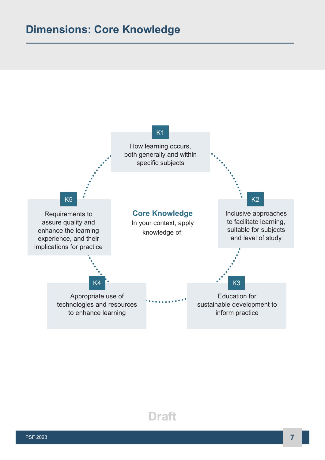# **Dimensions: Core Knowledge**

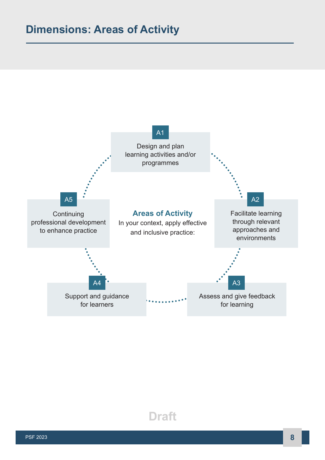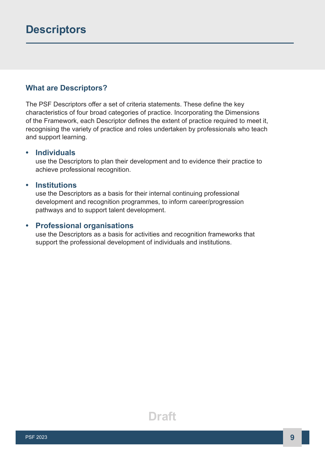# **What are Descriptors?**

The PSF Descriptors offer a set of criteria statements. These define the key characteristics of four broad categories of practice. Incorporating the Dimensions of the Framework, each Descriptor defines the extent of practice required to meet it, recognising the variety of practice and roles undertaken by professionals who teach and support learning.

#### **• Individuals**

use the Descriptors to plan their development and to evidence their practice to achieve professional recognition.

### **• Institutions**

use the Descriptors as a basis for their internal continuing professional development and recognition programmes, to inform career/progression pathways and to support talent development.

#### **• Professional organisations**

use the Descriptors as a basis for activities and recognition frameworks that support the professional development of individuals and institutions.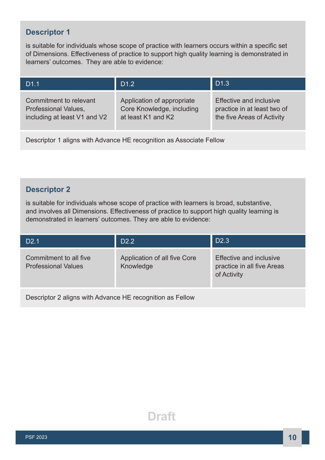# **Descriptor 1**

is suitable for individuals whose scope of practice with learners occurs within a specific set of Dimensions. Effectiveness of practice to support high quality learning is demonstrated in learners' outcomes. They are able to evidence:

| D <sub>1.1</sub>             | D <sub>1.2</sub>           | D <sub>1.3</sub>            |
|------------------------------|----------------------------|-----------------------------|
| Commitment to relevant       | Application of appropriate | Effective and inclusive     |
| <b>Professional Values,</b>  | Core Knowledge, including  | practice in at least two of |
| including at least V1 and V2 | at least K1 and K2         | the five Areas of Activity  |

Descriptor 1 aligns with Advance HE recognition as Associate Fellow

# **Descriptor 2**

is suitable for individuals whose scope of practice with learners is broad, substantive, and involves all Dimensions. Effectiveness of practice to support high quality learning is demonstrated in learners' outcomes. They are able to evidence:

| D <sub>2.1</sub>                                          | D <sub>2.2</sub>                          | D <sub>2.3</sub>                                                            |  |  |
|-----------------------------------------------------------|-------------------------------------------|-----------------------------------------------------------------------------|--|--|
| Commitment to all five<br><b>Professional Values</b>      | Application of all five Core<br>Knowledge | <b>Effective and inclusive</b><br>practice in all five Areas<br>of Activity |  |  |
| Descriptor 2 aligns with Advance HE recognition as Fellow |                                           |                                                                             |  |  |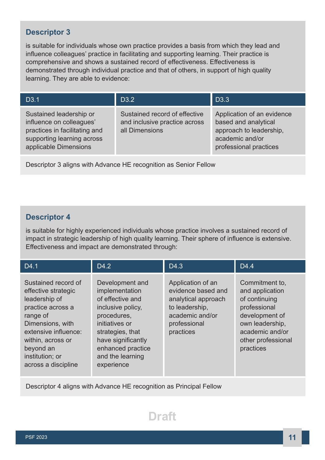# **Descriptor 3**

is suitable for individuals whose own practice provides a basis from which they lead and influence colleagues' practice in facilitating and supporting learning. Their practice is comprehensive and shows a sustained record of effectiveness. Effectiveness is demonstrated through individual practice and that of others, in support of high quality learning. They are able to evidence:

| D <sub>3.1</sub>                                                                                                                            | D <sub>3.2</sub>                                                                 | D <sub>3.3</sub>                                                                                                           |
|---------------------------------------------------------------------------------------------------------------------------------------------|----------------------------------------------------------------------------------|----------------------------------------------------------------------------------------------------------------------------|
| Sustained leadership or<br>influence on colleagues'<br>practices in facilitating and<br>supporting learning across<br>applicable Dimensions | Sustained record of effective<br>and inclusive practice across<br>all Dimensions | Application of an evidence<br>based and analytical<br>approach to leadership,<br>academic and/or<br>professional practices |

Descriptor 3 aligns with Advance HE recognition as Senior Fellow

### **Descriptor 4**

is suitable for highly experienced individuals whose practice involves a sustained record of impact in strategic leadership of high quality learning. Their sphere of influence is extensive. Effectiveness and impact are demonstrated through:

| D <sub>4.1</sub>                                                                                                                                                                                                     | D <sub>4.2</sub>                                                                                                                                                                                             | D4.3                                                                                                                             | D <sub>4.4</sub>                                                                                                                                              |
|----------------------------------------------------------------------------------------------------------------------------------------------------------------------------------------------------------------------|--------------------------------------------------------------------------------------------------------------------------------------------------------------------------------------------------------------|----------------------------------------------------------------------------------------------------------------------------------|---------------------------------------------------------------------------------------------------------------------------------------------------------------|
| Sustained record of<br>effective strategic<br>leadership of<br>practice across a<br>range of<br>Dimensions, with<br>extensive influence:<br>within, across or<br>beyond an<br>institution; or<br>across a discipline | Development and<br>implementation<br>of effective and<br>inclusive policy,<br>procedures,<br>initiatives or<br>strategies, that<br>have significantly<br>enhanced practice<br>and the learning<br>experience | Application of an<br>evidence based and<br>analytical approach<br>to leadership,<br>academic and/or<br>professional<br>practices | Commitment to,<br>and application<br>of continuing<br>professional<br>development of<br>own leadership,<br>academic and/or<br>other professional<br>practices |

Descriptor 4 aligns with Advance HE recognition as Principal Fellow

# **Draft**